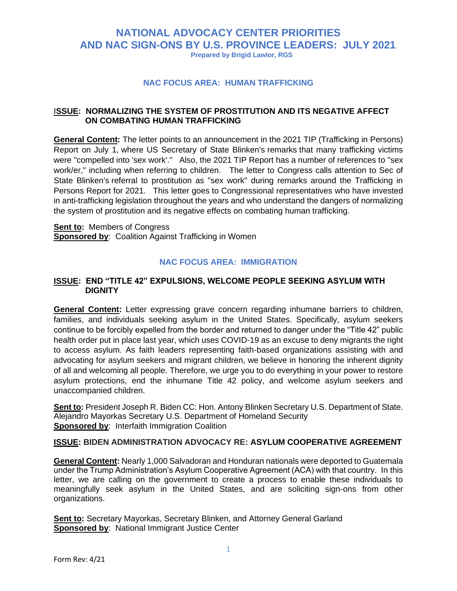# **NATIONAL ADVOCACY CENTER PRIORITIES AND NAC SIGN-ONS BY U.S. PROVINCE LEADERS: JULY 2021 Prepared by Brigid Lawlor, RGS**

#### **NAC FOCUS AREA: HUMAN TRAFFICKING**

## I**SSUE: NORMALIZING THE SYSTEM OF PROSTITUTION AND ITS NEGATIVE AFFECT ON COMBATING HUMAN TRAFFICKING**

**General Content:** The letter points to an announcement in the 2021 TIP (Trafficking in Persons) Report on July 1, where US Secretary of State Blinken's remarks that many trafficking victims were "compelled into 'sex work'." Also, the 2021 TIP Report has a number of references to "sex work/er," including when referring to children. The letter to Congress calls attention to Sec of State Blinken's referral to prostitution as "sex work" during remarks around the Trafficking in Persons Report for 2021. This letter goes to Congressional representatives who have invested in anti-trafficking legislation throughout the years and who understand the dangers of normalizing the system of prostitution and its negative effects on combating human trafficking.

**Sent to:** Members of Congress **Sponsored by: Coalition Against Trafficking in Women** 

#### **NAC FOCUS AREA: IMMIGRATION**

#### **ISSUE: END "TITLE 42" EXPULSIONS, WELCOME PEOPLE SEEKING ASYLUM WITH DIGNITY**

**General Content:** Letter expressing grave concern regarding inhumane barriers to children, families, and individuals seeking asylum in the United States. Specifically, asylum seekers continue to be forcibly expelled from the border and returned to danger under the "Title 42" public health order put in place last year, which uses COVID-19 as an excuse to deny migrants the right to access asylum. As faith leaders representing faith-based organizations assisting with and advocating for asylum seekers and migrant children, we believe in honoring the inherent dignity of all and welcoming all people. Therefore, we urge you to do everything in your power to restore asylum protections, end the inhumane Title 42 policy, and welcome asylum seekers and unaccompanied children.

**Sent to:** President Joseph R. Biden CC: Hon. Antony Blinken Secretary U.S. Department of State. Alejandro Mayorkas Secretary U.S. Department of Homeland Security **Sponsored by: Interfaith Immigration Coalition** 

#### **ISSUE: BIDEN ADMINISTRATION ADVOCACY RE: ASYLUM COOPERATIVE AGREEMENT**

**General Content:** Nearly 1,000 Salvadoran and Honduran nationals were deported to Guatemala under the Trump Administration's Asylum Cooperative Agreement (ACA) with that country. In [this](https://na01.safelinks.protection.outlook.com/?url=https%3A%2F%2Fdocs.google.com%2Fdocument%2Fd%2F1Db8IQt-ZMlVpJzSzzdk6Bm0K6Q7jxm31YIeHdcGOffM%2Fedit%3Fusp%3Dsharing&data=04%7C01%7C%7C27530607ce8948dc61ca08d9408fdcc1%7C84df9e7fe9f640afb435aaaaaaaaaaaa%7C1%7C0%7C637611808888989876%7CUnknown%7CTWFpbGZsb3d8eyJWIjoiMC4wLjAwMDAiLCJQIjoiV2luMzIiLCJBTiI6Ik1haWwiLCJXVCI6Mn0%3D%7C1000&sdata=nwwTGUZEqsCa61HvcnUl%2FZij%2BLvTFDTtUykSNB%2Br8Lc%3D&reserved=0)  [letter,](https://na01.safelinks.protection.outlook.com/?url=https%3A%2F%2Fdocs.google.com%2Fdocument%2Fd%2F1Db8IQt-ZMlVpJzSzzdk6Bm0K6Q7jxm31YIeHdcGOffM%2Fedit%3Fusp%3Dsharing&data=04%7C01%7C%7C27530607ce8948dc61ca08d9408fdcc1%7C84df9e7fe9f640afb435aaaaaaaaaaaa%7C1%7C0%7C637611808888989876%7CUnknown%7CTWFpbGZsb3d8eyJWIjoiMC4wLjAwMDAiLCJQIjoiV2luMzIiLCJBTiI6Ik1haWwiLCJXVCI6Mn0%3D%7C1000&sdata=nwwTGUZEqsCa61HvcnUl%2FZij%2BLvTFDTtUykSNB%2Br8Lc%3D&reserved=0) we are calling on the government to create a process to enable these individuals to meaningfully seek asylum in the United States, and are soliciting sign-ons from other organizations.

**Sent to:** Secretary Mayorkas, Secretary Blinken, and Attorney General Garland **Sponsored by**: National Immigrant Justice Center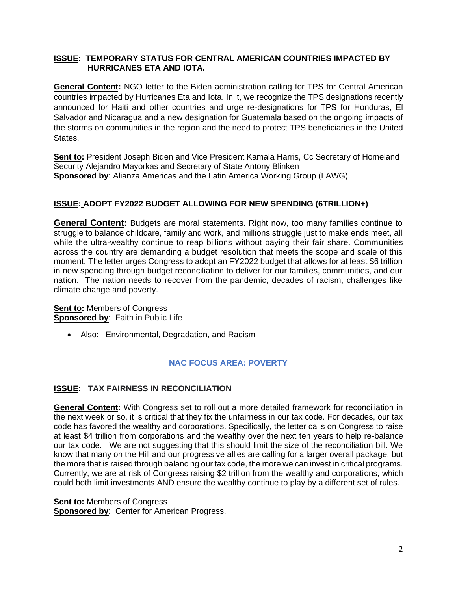## **ISSUE: TEMPORARY STATUS FOR CENTRAL AMERICAN COUNTRIES IMPACTED BY HURRICANES ETA AND IOTA.**

**General Content:** NGO letter to the Biden administration calling for TPS for Central American countries impacted by Hurricanes Eta and Iota. In it, we recognize the TPS designations recently announced for Haiti and other countries and urge re-designations for TPS for Honduras, El Salvador and Nicaragua and a new designation for Guatemala based on the ongoing impacts of the storms on communities in the region and the need to protect TPS beneficiaries in the United States.

**Sent to:** President Joseph Biden and Vice President Kamala Harris, Cc Secretary of Homeland Security Alejandro Mayorkas and Secretary of State Antony Blinken **Sponsored by**: Alianza Americas and the Latin America Working Group (LAWG)

## **ISSUE: ADOPT FY2022 BUDGET ALLOWING FOR NEW SPENDING (6TRILLION+)**

**General Content:** Budgets are moral statements. Right now, too many families continue to struggle to balance childcare, family and work, and millions struggle just to make ends meet, all while the ultra-wealthy continue to reap billions without paying their fair share. Communities across the country are demanding a budget resolution that meets the scope and scale of this moment. The letter urges Congress to adopt an FY2022 budget that allows for at least \$6 trillion in new spending through budget reconciliation to deliver for our families, communities, and our nation. The nation needs to recover from the pandemic, decades of racism, challenges like climate change and poverty.

**Sent to:** Members of Congress **Sponsored by**: Faith in Public Life

• Also: Environmental, Degradation, and Racism

## **NAC FOCUS AREA: POVERTY**

## **ISSUE: TAX FAIRNESS IN RECONCILIATION**

**General Content:** With Congress set to roll out a more detailed framework for reconciliation in the next week or so, it is critical that they fix the unfairness in our tax code. For decades, our tax code has favored the wealthy and corporations. Specifically, the letter calls on Congress to raise at least \$4 trillion from corporations and the wealthy over the next ten years to help re-balance our tax code. We are not suggesting that this should limit the size of the reconciliation bill. We know that many on the Hill and our progressive allies are calling for a larger overall package, but the more that is raised through balancing our tax code, the more we can invest in critical programs. Currently, we are at risk of Congress raising \$2 trillion from the wealthy and corporations, which could both limit investments AND ensure the wealthy continue to play by a different set of rules.

**Sent to:** Members of Congress

**Sponsored by**: Center for American Progress.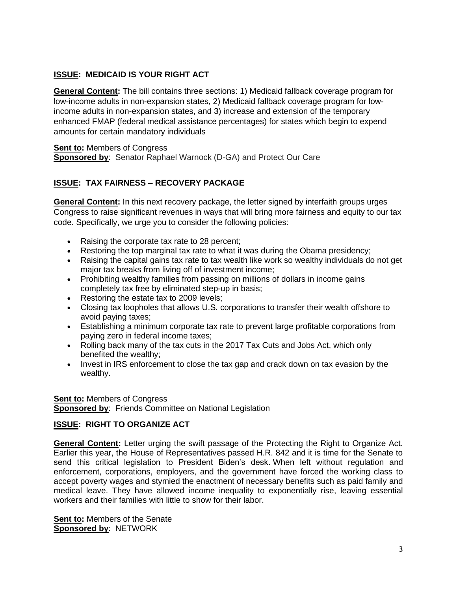## **ISSUE: MEDICAID IS YOUR RIGHT ACT**

**General Content:** The bill contains three sections: 1) Medicaid fallback coverage program for low-income adults in non-expansion states, 2) Medicaid fallback coverage program for lowincome adults in non-expansion states, and 3) increase and extension of the temporary enhanced FMAP (federal medical assistance percentages) for states which begin to expend amounts for certain mandatory individuals

**Sent to: Members of Congress Sponsored by**: Senator Raphael Warnock (D-GA) and Protect Our Care

# **ISSUE: TAX FAIRNESS – RECOVERY PACKAGE**

**General Content:** In this next recovery package, the letter signed by interfaith groups urges Congress to raise significant revenues in ways that will bring more fairness and equity to our tax code. Specifically, we urge you to consider the following policies:

- Raising the corporate tax rate to 28 percent;
- Restoring the top marginal tax rate to what it was during the Obama presidency;
- Raising the capital gains tax rate to tax wealth like work so wealthy individuals do not get major tax breaks from living off of investment income;
- Prohibiting wealthy families from passing on millions of dollars in income gains completely tax free by eliminated step-up in basis;
- Restoring the estate tax to 2009 levels;
- Closing tax loopholes that allows U.S. corporations to transfer their wealth offshore to avoid paying taxes;
- Establishing a minimum corporate tax rate to prevent large profitable corporations from paying zero in federal income taxes;
- Rolling back many of the tax cuts in the 2017 Tax Cuts and Jobs Act, which only benefited the wealthy;
- Invest in IRS enforcement to close the tax gap and crack down on tax evasion by the wealthy.

**Sent to:** Members of Congress **Sponsored by: Friends Committee on National Legislation** 

# **ISSUE: RIGHT TO ORGANIZE ACT**

**General Content:** Letter urging the swift passage of the Protecting the Right to Organize Act. Earlier this year, the House of Representatives passed H.R. 842 and it is time for the Senate to send this critical legislation to President Biden's desk. When left without regulation and enforcement, corporations, employers, and the government have forced the working class to accept poverty wages and stymied the enactment of necessary benefits such as paid family and medical leave. They have allowed income inequality to exponentially rise, leaving essential workers and their families with little to show for their labor.

**Sent to:** Members of the Senate **Sponsored by**: NETWORK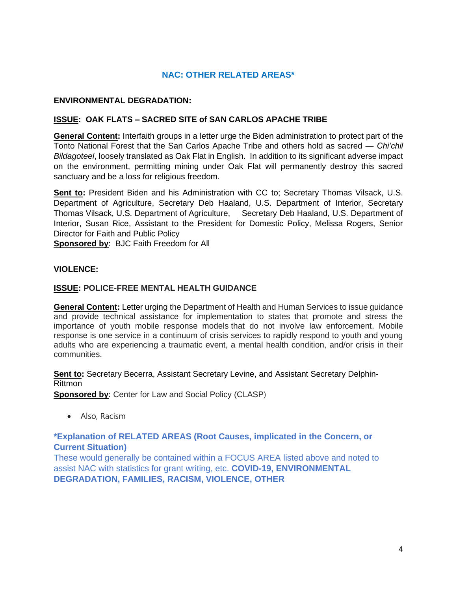# **NAC: OTHER RELATED AREAS\***

## **ENVIRONMENTAL DEGRADATION:**

## **ISSUE: OAK FLATS – SACRED SITE of SAN CARLOS APACHE TRIBE**

**General Content:** Interfaith groups in a letter urge the Biden administration to protect part of the Tonto National Forest that the San Carlos Apache Tribe and others hold as sacred — *Chi'chil Bildagoteel*, loosely translated as Oak Flat in English. In addition to its significant adverse impact on the environment, permitting mining under Oak Flat will permanently destroy this sacred sanctuary and be a loss for religious freedom.

**Sent to:** President Biden and his Administration with CC to; Secretary Thomas Vilsack, U.S. Department of Agriculture, Secretary Deb Haaland, U.S. Department of Interior, Secretary Thomas Vilsack, U.S. Department of Agriculture, Secretary Deb Haaland, U.S. Department of Interior, Susan Rice, Assistant to the President for Domestic Policy, Melissa Rogers, Senior Director for Faith and Public Policy

**Sponsored by**: BJC Faith Freedom for All

## **VIOLENCE:**

## **ISSUE: POLICE-FREE MENTAL HEALTH GUIDANCE**

**General Content:** Letter urging the Department of Health and Human Services to issue guidance and provide technical assistance for implementation to states that promote and stress the importance of youth mobile response models that do not involve law enforcement. Mobile response is one service in a continuum of crisis services to rapidly respond to youth and young adults who are experiencing a traumatic event, a mental health condition, and/or crisis in their communities.

**Sent to:** Secretary Becerra, Assistant Secretary Levine, and Assistant Secretary Delphin-Rittmon

**Sponsored by: Center for Law and Social Policy (CLASP)** 

• Also, Racism

## **\*Explanation of RELATED AREAS (Root Causes, implicated in the Concern, or Current Situation)**

These would generally be contained within a FOCUS AREA listed above and noted to assist NAC with statistics for grant writing, etc. **COVID-19, ENVIRONMENTAL DEGRADATION, FAMILIES, RACISM, VIOLENCE, OTHER**